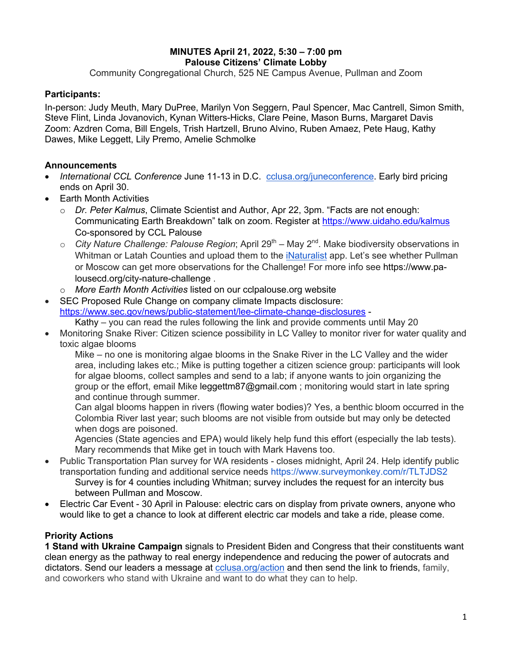## **MINUTES April 21, 2022, 5:30 – 7:00 pm Palouse Citizens' Climate Lobby**

Community Congregational Church, 525 NE Campus Avenue, Pullman and Zoom

# **Participants:**

In-person: Judy Meuth, Mary DuPree, Marilyn Von Seggern, Paul Spencer, Mac Cantrell, Simon Smith, Steve Flint, Linda Jovanovich, Kynan Witters-Hicks, Clare Peine, Mason Burns, Margaret Davis Zoom: Azdren Coma, Bill Engels, Trish Hartzell, Bruno Alvino, Ruben Amaez, Pete Haug, Kathy Dawes, Mike Leggett, Lily Premo, Amelie Schmolke

## **Announcements**

- *International CCL Conference* June 11-13 in D.C. cclusa.org/juneconference. Early bird pricing ends on April 30.
- Earth Month Activities
	- o *Dr. Peter Kalmus*, Climate Scientist and Author, Apr 22, 3pm. "Facts are not enough: Communicating Earth Breakdown" talk on zoom. Register at https://www.uidaho.edu/kalmus Co-sponsored by CCL Palouse
	- o *City Nature Challenge: Palouse Region*; April 29<sup>th</sup> May 2<sup>nd</sup>. Make biodiversity observations in Whitman or Latah Counties and upload them to the iNaturalist app. Let's see whether Pullman or Moscow can get more observations for the Challenge! For more info see https://www.palousecd.org/city-nature-challenge .
	- o *More Earth Month Activities* listed on our cclpalouse.org website

• SEC Proposed Rule Change on company climate Impacts disclosure: https://www.sec.gov/news/public-statement/lee-climate-change-disclosures -

- Kathy you can read the rules following the link and provide comments until May 20 • Monitoring Snake River: Citizen science possibility in LC Valley to monitor river for water quality and
- toxic algae blooms

Mike – no one is monitoring algae blooms in the Snake River in the LC Valley and the wider area, including lakes etc.; Mike is putting together a citizen science group: participants will look for algae blooms, collect samples and send to a lab; if anyone wants to join organizing the group or the effort, email Mike leggettm87@gmail.com; monitoring would start in late spring and continue through summer.

Can algal blooms happen in rivers (flowing water bodies)? Yes, a benthic bloom occurred in the Colombia River last year; such blooms are not visible from outside but may only be detected when dogs are poisoned.

Agencies (State agencies and EPA) would likely help fund this effort (especially the lab tests). Mary recommends that Mike get in touch with Mark Havens too.

- Public Transportation Plan survey for WA residents closes midnight, April 24. Help identify public transportation funding and additional service needs https://www.surveymonkey.com/r/TLTJDS2 Survey is for 4 counties including Whitman; survey includes the request for an intercity bus between Pullman and Moscow.
- Electric Car Event 30 April in Palouse: electric cars on display from private owners, anyone who would like to get a chance to look at different electric car models and take a ride, please come.

# **Priority Actions**

**1 Stand with Ukraine Campaign** signals to President Biden and Congress that their constituents want clean energy as the pathway to real energy independence and reducing the power of autocrats and dictators. Send our leaders a message at cclusa.org/action and then send the link to friends, family, and coworkers who stand with Ukraine and want to do what they can to help.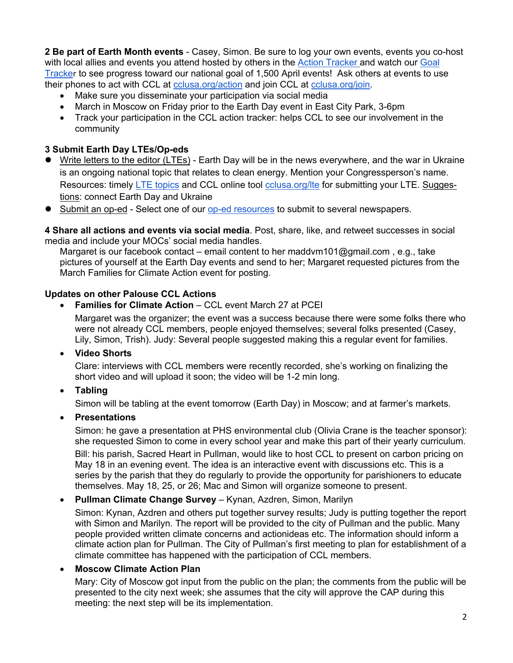**2 Be part of Earth Month events** - Casey, Simon. Be sure to log your own events, events you co-host with local allies and events you attend hosted by others in the Action Tracker and watch our Goal Tracker to see progress toward our national goal of 1,500 April events! Ask others at events to use their phones to act with CCL at cclusa.org/action and join CCL at cclusa.org/join.

- Make sure you disseminate your participation via social media
- March in Moscow on Friday prior to the Earth Day event in East City Park, 3-6pm
- Track your participation in the CCL action tracker: helps CCL to see our involvement in the community

## **3 Submit Earth Day LTEs/Op-eds**

- l Write letters to the editor (LTEs) Earth Day will be in the news everywhere, and the war in Ukraine is an ongoing national topic that relates to clean energy. Mention your Congressperson's name. Resources: timely LTE topics and CCL online tool colusa.org/Ite for submitting your LTE. Suggestions: connect Earth Day and Ukraine
- l Submit an op-ed Select one of our op-ed resources to submit to several newspapers.

**4 Share all actions and events via social media**. Post, share, like, and retweet successes in social media and include your MOCs' social media handles.

Margaret is our facebook contact – email content to her maddvm101@gmail.com , e.g., take pictures of yourself at the Earth Day events and send to her; Margaret requested pictures from the March Families for Climate Action event for posting.

### **Updates on other Palouse CCL Actions**

**Families for Climate Action** – CCL event March 27 at PCEI

Margaret was the organizer; the event was a success because there were some folks there who were not already CCL members, people enjoyed themselves; several folks presented (Casey, Lily, Simon, Trish). Judy: Several people suggested making this a regular event for families.

• **Video Shorts**

Clare: interviews with CCL members were recently recorded, she's working on finalizing the short video and will upload it soon; the video will be 1-2 min long.

• **Tabling**

Simon will be tabling at the event tomorrow (Earth Day) in Moscow; and at farmer's markets.

• **Presentations**

Simon: he gave a presentation at PHS environmental club (Olivia Crane is the teacher sponsor): she requested Simon to come in every school year and make this part of their yearly curriculum.

Bill: his parish, Sacred Heart in Pullman, would like to host CCL to present on carbon pricing on May 18 in an evening event. The idea is an interactive event with discussions etc. This is a series by the parish that they do regularly to provide the opportunity for parishioners to educate themselves. May 18, 25, or 26; Mac and Simon will organize someone to present.

#### • **Pullman Climate Change Survey** – Kynan, Azdren, Simon, Marilyn

Simon: Kynan, Azdren and others put together survey results; Judy is putting together the report with Simon and Marilyn. The report will be provided to the city of Pullman and the public. Many people provided written climate concerns and actionideas etc. The information should inform a climate action plan for Pullman. The City of Pullman's first meeting to plan for establishment of a climate committee has happened with the participation of CCL members.

## • **Moscow Climate Action Plan**

Mary: City of Moscow got input from the public on the plan; the comments from the public will be presented to the city next week; she assumes that the city will approve the CAP during this meeting: the next step will be its implementation.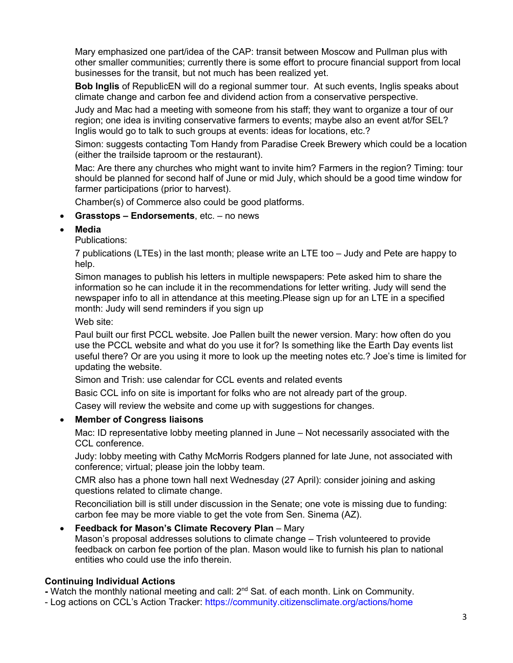Mary emphasized one part/idea of the CAP: transit between Moscow and Pullman plus with other smaller communities; currently there is some effort to procure financial support from local businesses for the transit, but not much has been realized yet.

**Bob Inglis** of RepublicEN will do a regional summer tour. At such events, Inglis speaks about climate change and carbon fee and dividend action from a conservative perspective.

Judy and Mac had a meeting with someone from his staff; they want to organize a tour of our region; one idea is inviting conservative farmers to events; maybe also an event at/for SEL? Inglis would go to talk to such groups at events: ideas for locations, etc.?

Simon: suggests contacting Tom Handy from Paradise Creek Brewery which could be a location (either the trailside taproom or the restaurant).

Mac: Are there any churches who might want to invite him? Farmers in the region? Timing: tour should be planned for second half of June or mid July, which should be a good time window for farmer participations (prior to harvest).

Chamber(s) of Commerce also could be good platforms.

### • **Grasstops – Endorsements**, etc. – no news

• **Media**

Publications:

7 publications (LTEs) in the last month; please write an LTE too – Judy and Pete are happy to help.

Simon manages to publish his letters in multiple newspapers: Pete asked him to share the information so he can include it in the recommendations for letter writing. Judy will send the newspaper info to all in attendance at this meeting.Please sign up for an LTE in a specified month: Judy will send reminders if you sign up

Web site:

Paul built our first PCCL website. Joe Pallen built the newer version. Mary: how often do you use the PCCL website and what do you use it for? Is something like the Earth Day events list useful there? Or are you using it more to look up the meeting notes etc.? Joe's time is limited for updating the website.

Simon and Trish: use calendar for CCL events and related events

Basic CCL info on site is important for folks who are not already part of the group.

Casey will review the website and come up with suggestions for changes.

## • **Member of Congress liaisons**

Mac: ID representative lobby meeting planned in June – Not necessarily associated with the CCL conference.

Judy: lobby meeting with Cathy McMorris Rodgers planned for late June, not associated with conference; virtual; please join the lobby team.

CMR also has a phone town hall next Wednesday (27 April): consider joining and asking questions related to climate change.

Reconciliation bill is still under discussion in the Senate; one vote is missing due to funding: carbon fee may be more viable to get the vote from Sen. Sinema (AZ).

## • **Feedback for Mason's Climate Recovery Plan** – Mary

Mason's proposal addresses solutions to climate change – Trish volunteered to provide feedback on carbon fee portion of the plan. Mason would like to furnish his plan to national entities who could use the info therein.

## **Continuing Individual Actions**

**-** Watch the monthly national meeting and call: 2nd Sat. of each month. Link on Community.

- Log actions on CCL's Action Tracker: https://community.citizensclimate.org/actions/home